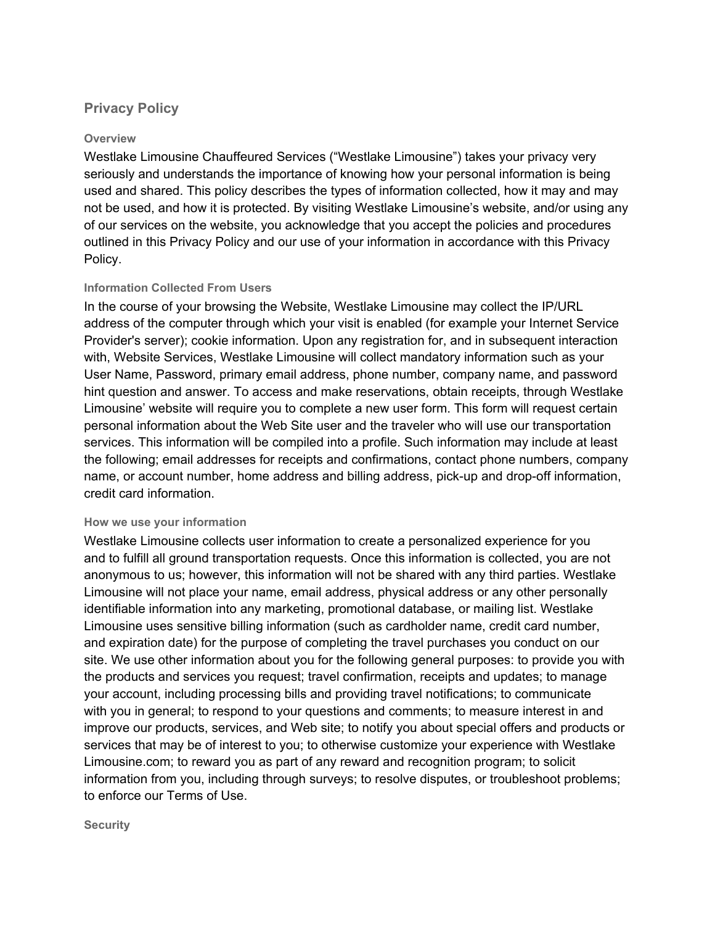# **Privacy Policy**

# **Overview**

Westlake Limousine Chauffeured Services ("Westlake Limousine") takes your privacy very seriously and understands the importance of knowing how your personal information is being used and shared. This policy describes the types of information collected, how it may and may not be used, and how it is protected. By visiting Westlake Limousine's website, and/or using any of our services on the website, you acknowledge that you accept the policies and procedures outlined in this Privacy Policy and our use of your information in accordance with this Privacy Policy.

# **Information Collected From Users**

In the course of your browsing the Website, Westlake Limousine may collect the IP/URL address of the computer through which your visit is enabled (for example your Internet Service Provider's server); cookie information. Upon any registration for, and in subsequent interaction with, Website Services, Westlake Limousine will collect mandatory information such as your User Name, Password, primary email address, phone number, company name, and password hint question and answer. To access and make reservations, obtain receipts, through Westlake Limousine' website will require you to complete a new user form. This form will request certain personal information about the Web Site user and the traveler who will use our transportation services. This information will be compiled into a profile. Such information may include at least the following; email addresses for receipts and confirmations, contact phone numbers, company name, or account number, home address and billing address, pick-up and drop-off information, credit card information.

### **How we use your information**

Westlake Limousine collects user information to create a personalized experience for you and to fulfill all ground transportation requests. Once this information is collected, you are not anonymous to us; however, this information will not be shared with any third parties. Westlake Limousine will not place your name, email address, physical address or any other personally identifiable information into any marketing, promotional database, or mailing list. Westlake Limousine uses sensitive billing information (such as cardholder name, credit card number, and expiration date) for the purpose of completing the travel purchases you conduct on our site. We use other information about you for the following general purposes: to provide you with the products and services you request; travel confirmation, receipts and updates; to manage your account, including processing bills and providing travel notifications; to communicate with you in general; to respond to your questions and comments; to measure interest in and improve our products, services, and Web site; to notify you about special offers and products or services that may be of interest to you; to otherwise customize your experience with Westlake Limousine.com; to reward you as part of any reward and recognition program; to solicit information from you, including through surveys; to resolve disputes, or troubleshoot problems; to enforce our Terms of Use.

#### **Security**